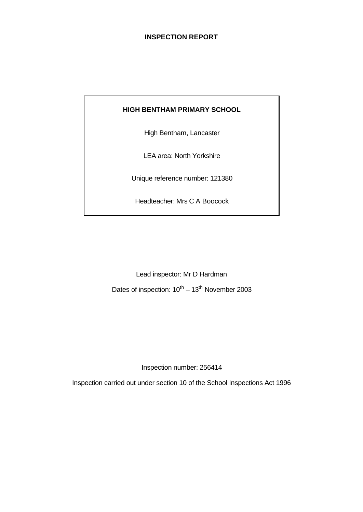### **INSPECTION REPORT**

#### **HIGH BENTHAM PRIMARY SCHOOL**

High Bentham, Lancaster

LEA area: North Yorkshire

Unique reference number: 121380

Headteacher: Mrs C A Boocock

Lead inspector: Mr D Hardman

Dates of inspection:  $10^{th} - 13^{th}$  November 2003

Inspection number: 256414

Inspection carried out under section 10 of the School Inspections Act 1996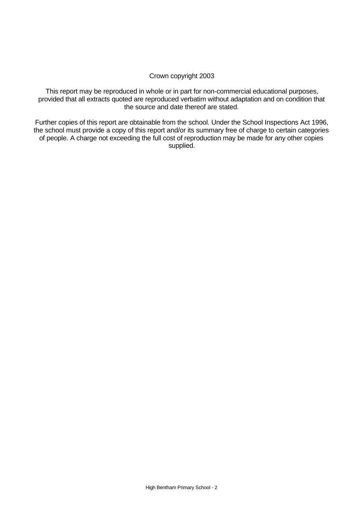#### Crown copyright 2003

This report may be reproduced in whole or in part for non-commercial educational purposes, provided that all extracts quoted are reproduced verbatim without adaptation and on condition that the source and date thereof are stated.

Further copies of this report are obtainable from the school. Under the School Inspections Act 1996, the school must provide a copy of this report and/or its summary free of charge to certain categories of people. A charge not exceeding the full cost of reproduction may be made for any other copies supplied.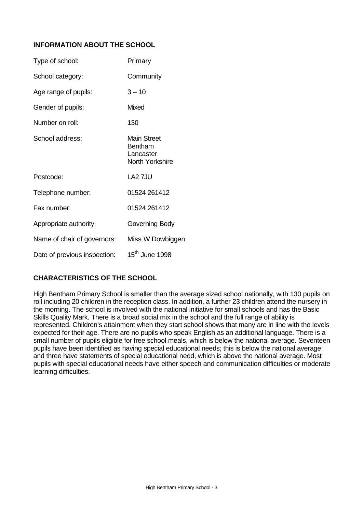# **INFORMATION ABOUT THE SCHOOL**

| Type of school:              | Primary                                                                     |
|------------------------------|-----------------------------------------------------------------------------|
| School category:             | Community                                                                   |
| Age range of pupils:         | $3 - 10$                                                                    |
| Gender of pupils:            | Mixed                                                                       |
| Number on roll:              | 130                                                                         |
| School address:              | <b>Main Street</b><br><b>Bentham</b><br>Lancaster<br><b>North Yorkshire</b> |
| Postcode:                    | LA2 7JU                                                                     |
| Telephone number:            | 01524 261412                                                                |
| Fax number:                  | 01524 261412                                                                |
| Appropriate authority:       | Governing Body                                                              |
| Name of chair of governors:  | Miss W Dowbiggen                                                            |
| Date of previous inspection: | $15^{\text{th}}$ June 1998                                                  |

# **CHARACTERISTICS OF THE SCHOOL**

High Bentham Primary School is smaller than the average sized school nationally, with 130 pupils on roll including 20 children in the reception class. In addition, a further 23 children attend the nursery in the morning. The school is involved with the national initiative for small schools and has the Basic Skills Quality Mark. There is a broad social mix in the school and the full range of ability is represented. Children's attainment when they start school shows that many are in line with the levels expected for their age. There are no pupils who speak English as an additional language. There is a small number of pupils eligible for free school meals, which is below the national average. Seventeen pupils have been identified as having special educational needs; this is below the national average and three have statements of special educational need, which is above the national average. Most pupils with special educational needs have either speech and communication difficulties or moderate learning difficulties.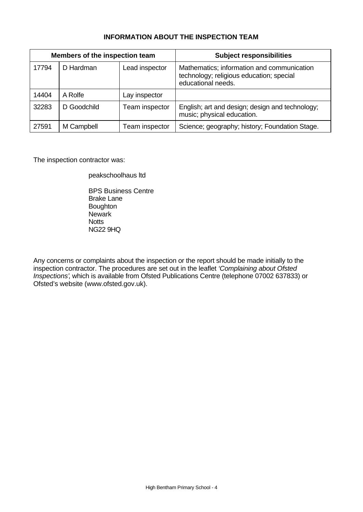# **INFORMATION ABOUT THE INSPECTION TEAM**

| Members of the inspection team |             |                       | <b>Subject responsibilities</b>                                                                              |
|--------------------------------|-------------|-----------------------|--------------------------------------------------------------------------------------------------------------|
| 17794                          | D Hardman   | Lead inspector        | Mathematics; information and communication<br>technology; religious education; special<br>educational needs. |
| 14404                          | A Rolfe     | Lay inspector         |                                                                                                              |
| 32283                          | D Goodchild | Team inspector        | English; art and design; design and technology;<br>music; physical education.                                |
| 27591                          | M Campbell  | <b>Team inspector</b> | Science; geography; history; Foundation Stage.                                                               |

The inspection contractor was:

peakschoolhaus ltd

BPS Business Centre Brake Lane Boughton **Newark Notts** NG22 9HQ

Any concerns or complaints about the inspection or the report should be made initially to the inspection contractor. The procedures are set out in the leaflet *'Complaining about Ofsted Inspections'*, which is available from Ofsted Publications Centre (telephone 07002 637833) or Ofsted's website (www.ofsted.gov.uk).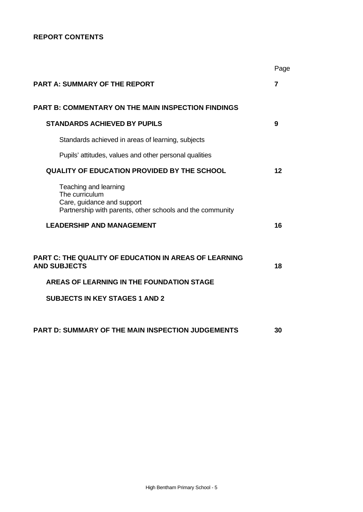# **REPORT CONTENTS**

|                                                                                                                                    | Page           |
|------------------------------------------------------------------------------------------------------------------------------------|----------------|
| <b>PART A: SUMMARY OF THE REPORT</b>                                                                                               | $\overline{7}$ |
| <b>PART B: COMMENTARY ON THE MAIN INSPECTION FINDINGS</b>                                                                          |                |
| <b>STANDARDS ACHIEVED BY PUPILS</b>                                                                                                | 9              |
| Standards achieved in areas of learning, subjects                                                                                  |                |
| Pupils' attitudes, values and other personal qualities                                                                             |                |
| <b>QUALITY OF EDUCATION PROVIDED BY THE SCHOOL</b>                                                                                 | 12             |
| Teaching and learning<br>The curriculum<br>Care, guidance and support<br>Partnership with parents, other schools and the community |                |
| <b>LEADERSHIP AND MANAGEMENT</b>                                                                                                   | 16             |
| <b>PART C: THE QUALITY OF EDUCATION IN AREAS OF LEARNING</b><br><b>AND SUBJECTS</b>                                                | 18             |
| AREAS OF LEARNING IN THE FOUNDATION STAGE                                                                                          |                |
| <b>SUBJECTS IN KEY STAGES 1 AND 2</b>                                                                                              |                |
| PART D: SUMMARY OF THE MAIN INSPECTION JUDGEMENTS                                                                                  | 30             |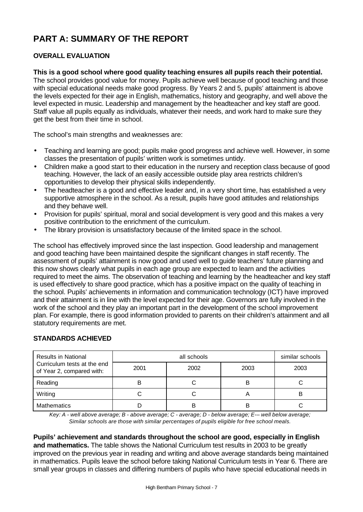# **PART A: SUMMARY OF THE REPORT**

# **OVERALL EVALUATION**

#### **This is a good school where good quality teaching ensures all pupils reach their potential.**

The school provides good value for money. Pupils achieve well because of good teaching and those with special educational needs make good progress. By Years 2 and 5, pupils' attainment is above the levels expected for their age in English, mathematics, history and geography, and well above the level expected in music. Leadership and management by the headteacher and key staff are good. Staff value all pupils equally as individuals, whatever their needs, and work hard to make sure they get the best from their time in school.

The school's main strengths and weaknesses are:

- Teaching and learning are good; pupils make good progress and achieve well. However, in some classes the presentation of pupils' written work is sometimes untidy.
- Children make a good start to their education in the nursery and reception class because of good teaching. However, the lack of an easily accessible outside play area restricts children's opportunities to develop their physical skills independently.
- The headteacher is a good and effective leader and, in a very short time, has established a very supportive atmosphere in the school. As a result, pupils have good attitudes and relationships and they behave well.
- Provision for pupils' spiritual, moral and social development is very good and this makes a very positive contribution to the enrichment of the curriculum.
- The library provision is unsatisfactory because of the limited space in the school.

The school has effectively improved since the last inspection. Good leadership and management and good teaching have been maintained despite the significant changes in staff recently. The assessment of pupils' attainment is now good and used well to guide teachers' future planning and this now shows clearly what pupils in each age group are expected to learn and the activities required to meet the aims. The observation of teaching and learning by the headteacher and key staff is used effectively to share good practice, which has a positive impact on the quality of teaching in the school. Pupils' achievements in information and communication technology (ICT) have improved and their attainment is in line with the level expected for their age. Governors are fully involved in the work of the school and they play an important part in the development of the school improvement plan. For example, there is good information provided to parents on their children's attainment and all statutory requirements are met.

# **STANDARDS ACHIEVED**

| <b>Results in National</b>                               |      | similar schools |      |      |
|----------------------------------------------------------|------|-----------------|------|------|
| Curriculum tests at the end<br>of Year 2, compared with: | 2001 | 2002            | 2003 | 2003 |
| Reading                                                  |      |                 | В    |      |
| Writing                                                  |      |                 |      | в    |
| <b>Mathematics</b>                                       |      | B               | В    |      |

*Key: A - well above average; B - above average; C - average; D - below average; E-– well below average; Similar schools are those with similar percentages of pupils eligible for free school meals.*

**Pupils' achievement and standards throughout the school are good, especially in English and mathematics.** The table shows the National Curriculum test results in 2003 to be greatly improved on the previous year in reading and writing and above average standards being maintained in mathematics. Pupils leave the school before taking National Curriculum tests in Year 6. There are small year groups in classes and differing numbers of pupils who have special educational needs in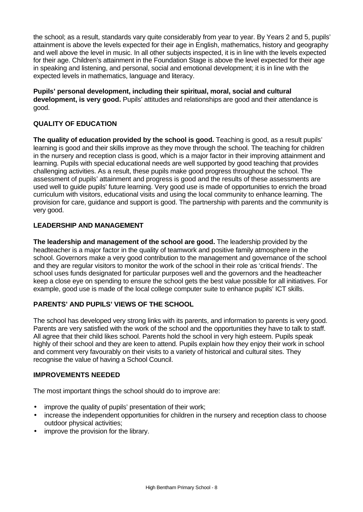the school; as a result, standards vary quite considerably from year to year. By Years 2 and 5, pupils' attainment is above the levels expected for their age in English, mathematics, history and geography and well above the level in music. In all other subjects inspected, it is in line with the levels expected for their age. Children's attainment in the Foundation Stage is above the level expected for their age in speaking and listening, and personal, social and emotional development; it is in line with the expected levels in mathematics, language and literacy.

**Pupils' personal development, including their spiritual, moral, social and cultural development, is very good.** Pupils' attitudes and relationships are good and their attendance is good.

# **QUALITY OF EDUCATION**

**The quality of education provided by the school is good.** Teaching is good, as a result pupils' learning is good and their skills improve as they move through the school. The teaching for children in the nursery and reception class is good, which is a major factor in their improving attainment and learning. Pupils with special educational needs are well supported by good teaching that provides challenging activities. As a result, these pupils make good progress throughout the school. The assessment of pupils' attainment and progress is good and the results of these assessments are used well to guide pupils' future learning. Very good use is made of opportunities to enrich the broad curriculum with visitors, educational visits and using the local community to enhance learning. The provision for care, guidance and support is good. The partnership with parents and the community is very good.

### **LEADERSHIP AND MANAGEMENT**

**The leadership and management of the school are good.** The leadership provided by the headteacher is a major factor in the quality of teamwork and positive family atmosphere in the school. Governors make a very good contribution to the management and governance of the school and they are regular visitors to monitor the work of the school in their role as 'critical friends'. The school uses funds designated for particular purposes well and the governors and the headteacher keep a close eye on spending to ensure the school gets the best value possible for all initiatives. For example, good use is made of the local college computer suite to enhance pupils' ICT skills.

# **PARENTS' AND PUPILS' VIEWS OF THE SCHOOL**

The school has developed very strong links with its parents, and information to parents is very good. Parents are very satisfied with the work of the school and the opportunities they have to talk to staff. All agree that their child likes school. Parents hold the school in very high esteem. Pupils speak highly of their school and they are keen to attend. Pupils explain how they enjoy their work in school and comment very favourably on their visits to a variety of historical and cultural sites. They recognise the value of having a School Council.

#### **IMPROVEMENTS NEEDED**

The most important things the school should do to improve are:

- improve the quality of pupils' presentation of their work;
- increase the independent opportunities for children in the nursery and reception class to choose outdoor physical activities;
- improve the provision for the library.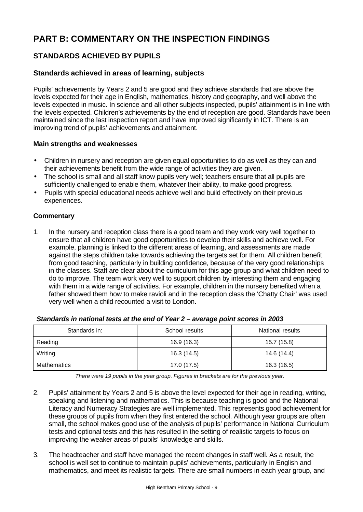# **PART B: COMMENTARY ON THE INSPECTION FINDINGS**

# **STANDARDS ACHIEVED BY PUPILS**

# **Standards achieved in areas of learning, subjects**

Pupils' achievements by Years 2 and 5 are good and they achieve standards that are above the levels expected for their age in English, mathematics, history and geography, and well above the levels expected in music. In science and all other subjects inspected, pupils' attainment is in line with the levels expected. Children's achievements by the end of reception are good. Standards have been maintained since the last inspection report and have improved significantly in ICT. There is an improving trend of pupils' achievements and attainment.

#### **Main strengths and weaknesses**

- Children in nursery and reception are given equal opportunities to do as well as they can and their achievements benefit from the wide range of activities they are given.
- The school is small and all staff know pupils very well; teachers ensure that all pupils are sufficiently challenged to enable them, whatever their ability, to make good progress.
- Pupils with special educational needs achieve well and build effectively on their previous experiences.

### **Commentary**

1. In the nursery and reception class there is a good team and they work very well together to ensure that all children have good opportunities to develop their skills and achieve well. For example, planning is linked to the different areas of learning, and assessments are made against the steps children take towards achieving the targets set for them. All children benefit from good teaching, particularly in building confidence, because of the very good relationships in the classes. Staff are clear about the curriculum for this age group and what children need to do to improve. The team work very well to support children by interesting them and engaging with them in a wide range of activities. For example, children in the nursery benefited when a father showed them how to make ravioli and in the reception class the 'Chatty Chair' was used very well when a child recounted a visit to London.

| Standards in: | School results | National results |
|---------------|----------------|------------------|
| Reading       | 16.9 (16.3)    | 15.7 (15.8)      |
| Writing       | 16.3 (14.5)    | 14.6 (14.4)      |
| Mathematics   | 17.0 (17.5)    | 16.3 (16.5)      |

#### *Standards in national tests at the end of Year 2 – average point scores in 2003*

*There were 19 pupils in the year group. Figures in brackets are for the previous year.*

- 2. Pupils' attainment by Years 2 and 5 is above the level expected for their age in reading, writing, speaking and listening and mathematics. This is because teaching is good and the National Literacy and Numeracy Strategies are well implemented. This represents good achievement for these groups of pupils from when they first entered the school. Although year groups are often small, the school makes good use of the analysis of pupils' performance in National Curriculum tests and optional tests and this has resulted in the setting of realistic targets to focus on improving the weaker areas of pupils' knowledge and skills.
- 3. The headteacher and staff have managed the recent changes in staff well. As a result, the school is well set to continue to maintain pupils' achievements, particularly in English and mathematics, and meet its realistic targets. There are small numbers in each year group, and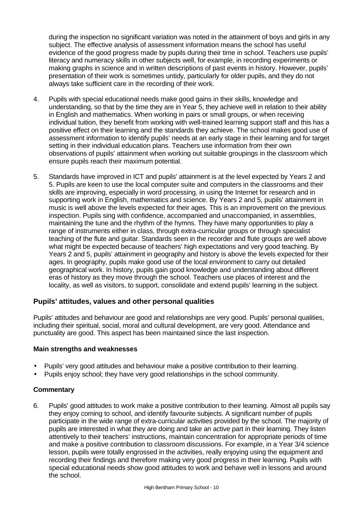during the inspection no significant variation was noted in the attainment of boys and girls in any subject. The effective analysis of assessment information means the school has useful evidence of the good progress made by pupils during their time in school. Teachers use pupils' literacy and numeracy skills in other subjects well, for example, in recording experiments or making graphs in science and in written descriptions of past events in history. However, pupils' presentation of their work is sometimes untidy, particularly for older pupils, and they do not always take sufficient care in the recording of their work.

- 4. Pupils with special educational needs make good gains in their skills, knowledge and understanding, so that by the time they are in Year 5, they achieve well in relation to their ability in English and mathematics. When working in pairs or small groups, or when receiving individual tuition, they benefit from working with well-trained learning support staff and this has a positive effect on their learning and the standards they achieve. The school makes good use of assessment information to identify pupils' needs at an early stage in their learning and for target setting in their individual education plans. Teachers use information from their own observations of pupils' attainment when working out suitable groupings in the classroom which ensure pupils reach their maximum potential.
- 5. Standards have improved in ICT and pupils' attainment is at the level expected by Years 2 and 5. Pupils are keen to use the local computer suite and computers in the classrooms and their skills are improving, especially in word processing, in using the Internet for research and in supporting work in English, mathematics and science. By Years 2 and 5, pupils' attainment in music is well above the levels expected for their ages. This is an improvement on the previous inspection. Pupils sing with confidence, accompanied and unaccompanied, in assemblies, maintaining the tune and the rhythm of the hymns. They have many opportunities to play a range of instruments either in class, through extra-curricular groups or through specialist teaching of the flute and guitar. Standards seen in the recorder and flute groups are well above what might be expected because of teachers' high expectations and very good teaching. By Years 2 and 5, pupils' attainment in geography and history is above the levels expected for their ages. In geography, pupils make good use of the local environment to carry out detailed geographical work. In history, pupils gain good knowledge and understanding about different eras of history as they move through the school. Teachers use places of interest and the locality, as well as visitors, to support, consolidate and extend pupils' learning in the subject.

# **Pupils' attitudes, values and other personal qualities**

Pupils' attitudes and behaviour are good and relationships are very good. Pupils' personal qualities, including their spiritual, social, moral and cultural development, are very good. Attendance and punctuality are good. This aspect has been maintained since the last inspection.

#### **Main strengths and weaknesses**

- Pupils' very good attitudes and behaviour make a positive contribution to their learning.
- Pupils enjoy school; they have very good relationships in the school community.

#### **Commentary**

6. Pupils' good attitudes to work make a positive contribution to their learning. Almost all pupils say they enjoy coming to school, and identify favourite subjects. A significant number of pupils participate in the wide range of extra-curricular activities provided by the school. The majority of pupils are interested in what they are doing and take an active part in their learning. They listen attentively to their teachers' instructions, maintain concentration for appropriate periods of time and make a positive contribution to classroom discussions. For example, in a Year 3/4 science lesson, pupils were totally engrossed in the activities, really enjoying using the equipment and recording their findings and therefore making very good progress in their learning. Pupils with special educational needs show good attitudes to work and behave well in lessons and around the school.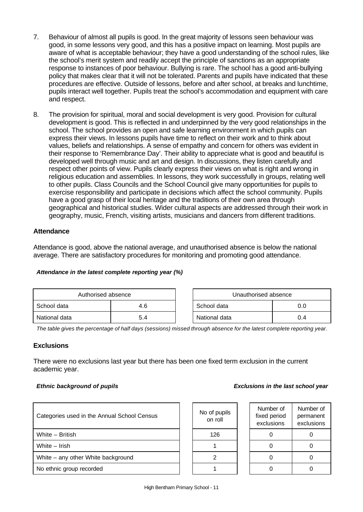- 7. Behaviour of almost all pupils is good. In the great majority of lessons seen behaviour was good, in some lessons very good, and this has a positive impact on learning. Most pupils are aware of what is acceptable behaviour; they have a good understanding of the school rules, like the school's merit system and readily accept the principle of sanctions as an appropriate response to instances of poor behaviour. Bullying is rare. The school has a good anti-bullying policy that makes clear that it will not be tolerated. Parents and pupils have indicated that these procedures are effective. Outside of lessons, before and after school, at breaks and lunchtime, pupils interact well together. Pupils treat the school's accommodation and equipment with care and respect.
- 8. The provision for spiritual, moral and social development is very good. Provision for cultural development is good. This is reflected in and underpinned by the very good relationships in the school. The school provides an open and safe learning environment in which pupils can express their views. In lessons pupils have time to reflect on their work and to think about values, beliefs and relationships. A sense of empathy and concern for others was evident in their response to 'Remembrance Day'. Their ability to appreciate what is good and beautiful is developed well through music and art and design. In discussions, they listen carefully and respect other points of view. Pupils clearly express their views on what is right and wrong in religious education and assemblies. In lessons, they work successfully in groups, relating well to other pupils. Class Councils and the School Council give many opportunities for pupils to exercise responsibility and participate in decisions which affect the school community. Pupils have a good grasp of their local heritage and the traditions of their own area through geographical and historical studies. Wider cultural aspects are addressed through their work in geography, music, French, visiting artists, musicians and dancers from different traditions.

### **Attendance**

Attendance is good, above the national average, and unauthorised absence is below the national average. There are satisfactory procedures for monitoring and promoting good attendance.

| Attendance in the latest complete reporting year (%) |  |  |  |  |
|------------------------------------------------------|--|--|--|--|
|                                                      |  |  |  |  |

| Authorised absence |     |  | Unauthorised absence |     |
|--------------------|-----|--|----------------------|-----|
| School data        | 4.6 |  | School data          | 0.0 |
| National data      | 5.4 |  | National data        | 0.4 |

*The table gives the percentage of half days (sessions) missed through absence for the latest complete reporting year.*

#### **Exclusions**

There were no exclusions last year but there has been one fixed term exclusion in the current academic year.

#### *Ethnic background of pupils Exclusions in the last school year*

| Categories used in the Annual School Census | No of pupils<br>on roll | Number of<br>fixed period<br>exclusions | Numb<br>perma<br>exclus |
|---------------------------------------------|-------------------------|-----------------------------------------|-------------------------|
| White - British                             | 126                     |                                         | $\Omega$                |
| White - Irish                               |                         |                                         | 0                       |
| White - any other White background          |                         |                                         | 0                       |
| No ethnic group recorded                    |                         |                                         | 0                       |
|                                             |                         |                                         |                         |

| No of pupils<br>on roll |
|-------------------------|
| 126                     |
|                         |
| 2                       |
|                         |

| Number of<br>fixed period<br>exclusions | Number of<br>permanent<br>exclusions |
|-----------------------------------------|--------------------------------------|
| C                                       | 0                                    |
| Ω                                       | O                                    |
| Ω                                       | ი                                    |
|                                         |                                      |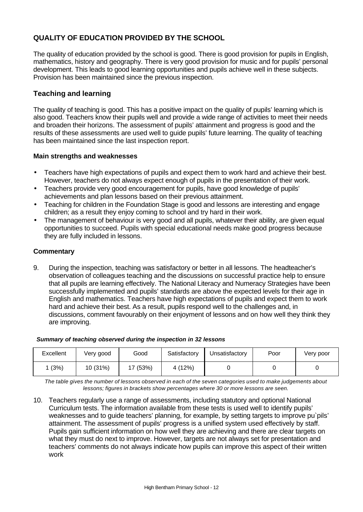# **QUALITY OF EDUCATION PROVIDED BY THE SCHOOL**

The quality of education provided by the school is good. There is good provision for pupils in English, mathematics, history and geography. There is very good provision for music and for pupils' personal development. This leads to good learning opportunities and pupils achieve well in these subjects. Provision has been maintained since the previous inspection.

# **Teaching and learning**

The quality of teaching is good. This has a positive impact on the quality of pupils' learning which is also good. Teachers know their pupils well and provide a wide range of activities to meet their needs and broaden their horizons. The assessment of pupils' attainment and progress is good and the results of these assessments are used well to guide pupils' future learning. The quality of teaching has been maintained since the last inspection report.

### **Main strengths and weaknesses**

- Teachers have high expectations of pupils and expect them to work hard and achieve their best. However, teachers do not always expect enough of pupils in the presentation of their work.
- Teachers provide very good encouragement for pupils, have good knowledge of pupils' achievements and plan lessons based on their previous attainment.
- Teaching for children in the Foundation Stage is good and lessons are interesting and engage children; as a result they enjoy coming to school and try hard in their work.
- The management of behaviour is very good and all pupils, whatever their ability, are given equal opportunities to succeed. Pupils with special educational needs make good progress because they are fully included in lessons.

### **Commentary**

9. During the inspection, teaching was satisfactory or better in all lessons. The headteacher's observation of colleagues teaching and the discussions on successful practice help to ensure that all pupils are learning effectively. The National Literacy and Numeracy Strategies have been successfully implemented and pupils' standards are above the expected levels for their age in English and mathematics. Teachers have high expectations of pupils and expect them to work hard and achieve their best. As a result, pupils respond well to the challenges and, in discussions, comment favourably on their enjoyment of lessons and on how well they think they are improving.

#### *Summary of teaching observed during the inspection in 32 lessons*

| Excellent | Very good | Good  | Satisfactory | Jnsatisfactory | Poor | Very poor |
|-----------|-----------|-------|--------------|----------------|------|-----------|
| (3%)      | 10 (31%)  | (53%) | 4 (12%)      |                |      |           |

*The table gives the number of lessons observed in each of the seven categories used to make judgements about lessons; figures in brackets show percentages where 30 or more lessons are seen.*

10. Teachers regularly use a range of assessments, including statutory and optional National Curriculum tests. The information available from these tests is used well to identify pupils' weaknesses and to guide teachers' planning, for example, by setting targets to improve pu`pils' attainment. The assessment of pupils' progress is a unified system used effectively by staff. Pupils gain sufficient information on how well they are achieving and there are clear targets on what they must do next to improve. However, targets are not always set for presentation and teachers' comments do not always indicate how pupils can improve this aspect of their written work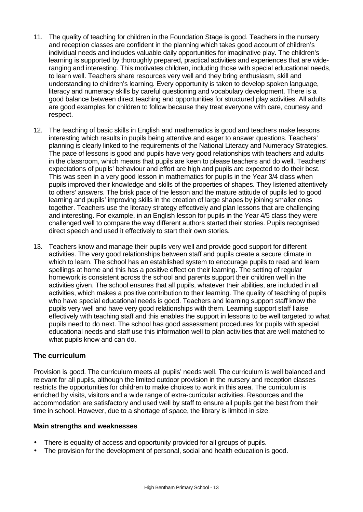- 11. The quality of teaching for children in the Foundation Stage is good. Teachers in the nursery and reception classes are confident in the planning which takes good account of children's individual needs and includes valuable daily opportunities for imaginative play. The children's learning is supported by thoroughly prepared, practical activities and experiences that are wideranging and interesting. This motivates children, including those with special educational needs, to learn well. Teachers share resources very well and they bring enthusiasm, skill and understanding to children's learning. Every opportunity is taken to develop spoken language, literacy and numeracy skills by careful questioning and vocabulary development. There is a good balance between direct teaching and opportunities for structured play activities. All adults are good examples for children to follow because they treat everyone with care, courtesy and respect.
- 12. The teaching of basic skills in English and mathematics is good and teachers make lessons interesting which results in pupils being attentive and eager to answer questions. Teachers' planning is clearly linked to the requirements of the National Literacy and Numeracy Strategies. The pace of lessons is good and pupils have very good relationships with teachers and adults in the classroom, which means that pupils are keen to please teachers and do well. Teachers' expectations of pupils' behaviour and effort are high and pupils are expected to do their best. This was seen in a very good lesson in mathematics for pupils in the Year 3/4 class when pupils improved their knowledge and skills of the properties of shapes. They listened attentively to others' answers. The brisk pace of the lesson and the mature attitude of pupils led to good learning and pupils' improving skills in the creation of large shapes by joining smaller ones together. Teachers use the literacy strategy effectively and plan lessons that are challenging and interesting. For example, in an English lesson for pupils in the Year 4/5 class they were challenged well to compare the way different authors started their stories. Pupils recognised direct speech and used it effectively to start their own stories.
- 13. Teachers know and manage their pupils very well and provide good support for different activities. The very good relationships between staff and pupils create a secure climate in which to learn. The school has an established system to encourage pupils to read and learn spellings at home and this has a positive effect on their learning. The setting of regular homework is consistent across the school and parents support their children well in the activities given. The school ensures that all pupils, whatever their abilities, are included in all activities, which makes a positive contribution to their learning. The quality of teaching of pupils who have special educational needs is good. Teachers and learning support staff know the pupils very well and have very good relationships with them. Learning support staff liaise effectively with teaching staff and this enables the support in lessons to be well targeted to what pupils need to do next. The school has good assessment procedures for pupils with special educational needs and staff use this information well to plan activities that are well matched to what pupils know and can do.

# **The curriculum**

Provision is good. The curriculum meets all pupils' needs well. The curriculum is well balanced and relevant for all pupils, although the limited outdoor provision in the nursery and reception classes restricts the opportunities for children to make choices to work in this area. The curriculum is enriched by visits, visitors and a wide range of extra-curricular activities. Resources and the accommodation are satisfactory and used well by staff to ensure all pupils get the best from their time in school. However, due to a shortage of space, the library is limited in size.

#### **Main strengths and weaknesses**

- There is equality of access and opportunity provided for all groups of pupils.
- The provision for the development of personal, social and health education is good.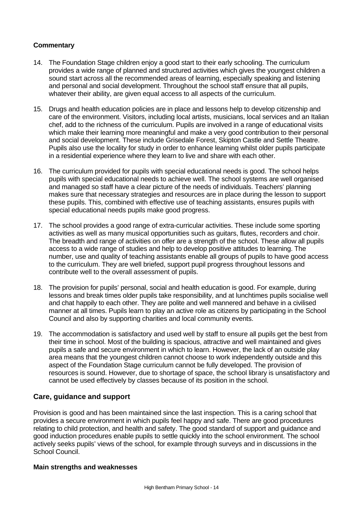### **Commentary**

- 14. The Foundation Stage children enjoy a good start to their early schooling. The curriculum provides a wide range of planned and structured activities which gives the youngest children a sound start across all the recommended areas of learning, especially speaking and listening and personal and social development. Throughout the school staff ensure that all pupils, whatever their ability, are given equal access to all aspects of the curriculum.
- 15. Drugs and health education policies are in place and lessons help to develop citizenship and care of the environment. Visitors, including local artists, musicians, local services and an Italian chef, add to the richness of the curriculum. Pupils are involved in a range of educational visits which make their learning more meaningful and make a very good contribution to their personal and social development. These include Grisedale Forest, Skipton Castle and Settle Theatre. Pupils also use the locality for study in order to enhance learning whilst older pupils participate in a residential experience where they learn to live and share with each other.
- 16. The curriculum provided for pupils with special educational needs is good. The school helps pupils with special educational needs to achieve well. The school systems are well organised and managed so staff have a clear picture of the needs of individuals. Teachers' planning makes sure that necessary strategies and resources are in place during the lesson to support these pupils. This, combined with effective use of teaching assistants, ensures pupils with special educational needs pupils make good progress.
- 17. The school provides a good range of extra-curricular activities. These include some sporting activities as well as many musical opportunities such as guitars, flutes, recorders and choir. The breadth and range of activities on offer are a strength of the school. These allow all pupils access to a wide range of studies and help to develop positive attitudes to learning. The number, use and quality of teaching assistants enable all groups of pupils to have good access to the curriculum. They are well briefed, support pupil progress throughout lessons and contribute well to the overall assessment of pupils.
- 18. The provision for pupils' personal, social and health education is good. For example, during lessons and break times older pupils take responsibility, and at lunchtimes pupils socialise well and chat happily to each other. They are polite and well mannered and behave in a civilised manner at all times. Pupils learn to play an active role as citizens by participating in the School Council and also by supporting charities and local community events.
- 19. The accommodation is satisfactory and used well by staff to ensure all pupils get the best from their time in school. Most of the building is spacious, attractive and well maintained and gives pupils a safe and secure environment in which to learn. However, the lack of an outside play area means that the youngest children cannot choose to work independently outside and this aspect of the Foundation Stage curriculum cannot be fully developed. The provision of resources is sound. However, due to shortage of space, the school library is unsatisfactory and cannot be used effectively by classes because of its position in the school.

#### **Care, guidance and support**

Provision is good and has been maintained since the last inspection. This is a caring school that provides a secure environment in which pupils feel happy and safe. There are good procedures relating to child protection, and health and safety. The good standard of support and guidance and good induction procedures enable pupils to settle quickly into the school environment. The school actively seeks pupils' views of the school, for example through surveys and in discussions in the School Council.

#### **Main strengths and weaknesses**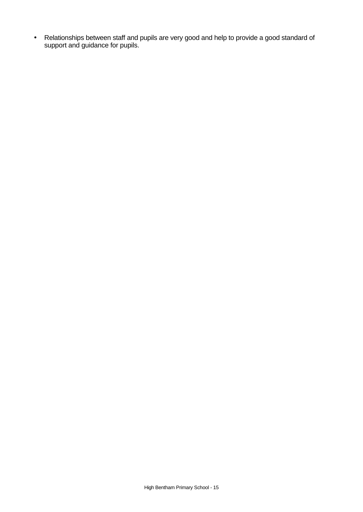• Relationships between staff and pupils are very good and help to provide a good standard of support and guidance for pupils.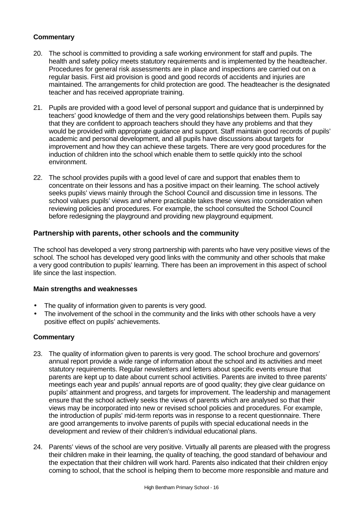# **Commentary**

- 20. The school is committed to providing a safe working environment for staff and pupils. The health and safety policy meets statutory requirements and is implemented by the headteacher. Procedures for general risk assessments are in place and inspections are carried out on a regular basis. First aid provision is good and good records of accidents and injuries are maintained. The arrangements for child protection are good. The headteacher is the designated teacher and has received appropriate training.
- 21. Pupils are provided with a good level of personal support and guidance that is underpinned by teachers' good knowledge of them and the very good relationships between them. Pupils say that they are confident to approach teachers should they have any problems and that they would be provided with appropriate guidance and support. Staff maintain good records of pupils' academic and personal development, and all pupils have discussions about targets for improvement and how they can achieve these targets. There are very good procedures for the induction of children into the school which enable them to settle quickly into the school environment.
- 22. The school provides pupils with a good level of care and support that enables them to concentrate on their lessons and has a positive impact on their learning. The school actively seeks pupils' views mainly through the School Council and discussion time in lessons. The school values pupils' views and where practicable takes these views into consideration when reviewing policies and procedures. For example, the school consulted the School Council before redesigning the playground and providing new playground equipment.

# **Partnership with parents, other schools and the community**

The school has developed a very strong partnership with parents who have very positive views of the school. The school has developed very good links with the community and other schools that make a very good contribution to pupils' learning. There has been an improvement in this aspect of school life since the last inspection.

#### **Main strengths and weaknesses**

- The quality of information given to parents is very good.
- The involvement of the school in the community and the links with other schools have a very positive effect on pupils' achievements.

- 23. The quality of information given to parents is very good. The school brochure and governors' annual report provide a wide range of information about the school and its activities and meet statutory requirements. Regular newsletters and letters about specific events ensure that parents are kept up to date about current school activities. Parents are invited to three parents' meetings each year and pupils' annual reports are of good quality; they give clear guidance on pupils' attainment and progress, and targets for improvement. The leadership and management ensure that the school actively seeks the views of parents which are analysed so that their views may be incorporated into new or revised school policies and procedures. For example, the introduction of pupils' mid-term reports was in response to a recent questionnaire. There are good arrangements to involve parents of pupils with special educational needs in the development and review of their children's individual educational plans.
- 24. Parents' views of the school are very positive. Virtually all parents are pleased with the progress their children make in their learning, the quality of teaching, the good standard of behaviour and the expectation that their children will work hard. Parents also indicated that their children enjoy coming to school, that the school is helping them to become more responsible and mature and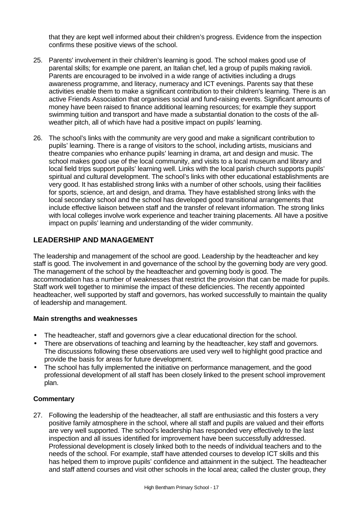that they are kept well informed about their children's progress. Evidence from the inspection confirms these positive views of the school.

- 25. Parents' involvement in their children's learning is good. The school makes good use of parental skills; for example one parent, an Italian chef, led a group of pupils making ravioli. Parents are encouraged to be involved in a wide range of activities including a drugs awareness programme, and literacy, numeracy and ICT evenings. Parents say that these activities enable them to make a significant contribution to their children's learning. There is an active Friends Association that organises social and fund-raising events. Significant amounts of money have been raised to finance additional learning resources; for example they support swimming tuition and transport and have made a substantial donation to the costs of the allweather pitch, all of which have had a positive impact on pupils' learning.
- 26. The school's links with the community are very good and make a significant contribution to pupils' learning. There is a range of visitors to the school, including artists, musicians and theatre companies who enhance pupils' learning in drama, art and design and music. The school makes good use of the local community, and visits to a local museum and library and local field trips support pupils' learning well. Links with the local parish church supports pupils' spiritual and cultural development. The school's links with other educational establishments are very good. It has established strong links with a number of other schools, using their facilities for sports, science, art and design, and drama. They have established strong links with the local secondary school and the school has developed good transitional arrangements that include effective liaison between staff and the transfer of relevant information. The strong links with local colleges involve work experience and teacher training placements. All have a positive impact on pupils' learning and understanding of the wider community.

# **LEADERSHIP AND MANAGEMENT**

The leadership and management of the school are good. Leadership by the headteacher and key staff is good. The involvement in and governance of the school by the governing body are very good. The management of the school by the headteacher and governing body is good. The accommodation has a number of weaknesses that restrict the provision that can be made for pupils. Staff work well together to minimise the impact of these deficiencies. The recently appointed headteacher, well supported by staff and governors, has worked successfully to maintain the quality of leadership and management.

#### **Main strengths and weaknesses**

- The headteacher, staff and governors give a clear educational direction for the school.
- There are observations of teaching and learning by the headteacher, key staff and governors. The discussions following these observations are used very well to highlight good practice and provide the basis for areas for future development.
- The school has fully implemented the initiative on performance management, and the good professional development of all staff has been closely linked to the present school improvement plan.

#### **Commentary**

27. Following the leadership of the headteacher, all staff are enthusiastic and this fosters a very positive family atmosphere in the school, where all staff and pupils are valued and their efforts are very well supported. The school's leadership has responded very effectively to the last inspection and all issues identified for improvement have been successfully addressed. Professional development is closely linked both to the needs of individual teachers and to the needs of the school. For example, staff have attended courses to develop ICT skills and this has helped them to improve pupils' confidence and attainment in the subject. The headteacher and staff attend courses and visit other schools in the local area; called the cluster group, they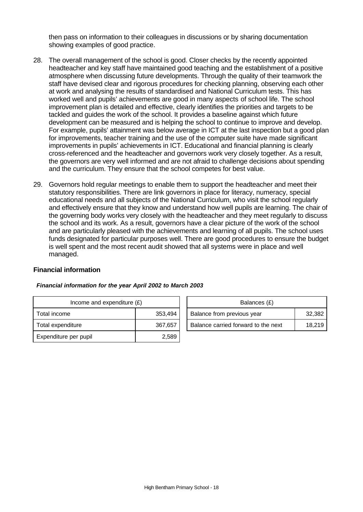then pass on information to their colleagues in discussions or by sharing documentation showing examples of good practice.

- 28. The overall management of the school is good. Closer checks by the recently appointed headteacher and key staff have maintained good teaching and the establishment of a positive atmosphere when discussing future developments. Through the quality of their teamwork the staff have devised clear and rigorous procedures for checking planning, observing each other at work and analysing the results of standardised and National Curriculum tests. This has worked well and pupils' achievements are good in many aspects of school life. The school improvement plan is detailed and effective, clearly identifies the priorities and targets to be tackled and guides the work of the school. It provides a baseline against which future development can be measured and is helping the school to continue to improve and develop. For example, pupils' attainment was below average in ICT at the last inspection but a good plan for improvements, teacher training and the use of the computer suite have made significant improvements in pupils' achievements in ICT. Educational and financial planning is clearly cross-referenced and the headteacher and governors work very closely together. As a result, the governors are very well informed and are not afraid to challenge decisions about spending and the curriculum. They ensure that the school competes for best value.
- 29. Governors hold regular meetings to enable them to support the headteacher and meet their statutory responsibilities. There are link governors in place for literacy, numeracy, special educational needs and all subjects of the National Curriculum, who visit the school regularly and effectively ensure that they know and understand how well pupils are learning. The chair of the governing body works very closely with the headteacher and they meet regularly to discuss the school and its work. As a result, governors have a clear picture of the work of the school and are particularly pleased with the achievements and learning of all pupils. The school uses funds designated for particular purposes well. There are good procedures to ensure the budget is well spent and the most recent audit showed that all systems were in place and well managed.

#### **Financial information**

| Income and expenditure $(E)$ |         |  | Balances (£)                        |        |
|------------------------------|---------|--|-------------------------------------|--------|
| Total income                 | 353,494 |  | Balance from previous year          | 32.382 |
| Total expenditure            | 367,657 |  | Balance carried forward to the next | 18.219 |
| Expenditure per pupil        | 2,589   |  |                                     |        |

| Financial information for the year April 2002 to March 2003 |  |  |  |
|-------------------------------------------------------------|--|--|--|
|-------------------------------------------------------------|--|--|--|

| Balances (£)                        |        |
|-------------------------------------|--------|
| Balance from previous year          | 32,382 |
| Balance carried forward to the next | 18.219 |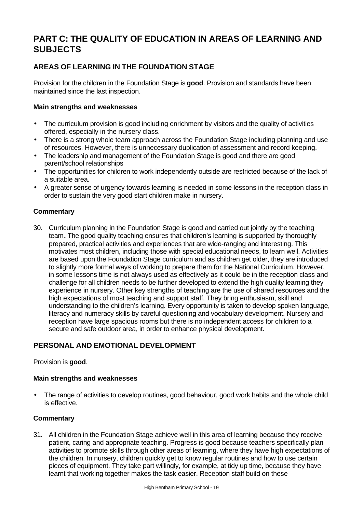# **PART C: THE QUALITY OF EDUCATION IN AREAS OF LEARNING AND SUBJECTS**

# **AREAS OF LEARNING IN THE FOUNDATION STAGE**

Provision for the children in the Foundation Stage is **good**. Provision and standards have been maintained since the last inspection.

#### **Main strengths and weaknesses**

- The curriculum provision is good including enrichment by visitors and the quality of activities offered, especially in the nursery class.
- There is a strong whole team approach across the Foundation Stage including planning and use of resources. However, there is unnecessary duplication of assessment and record keeping.
- The leadership and management of the Foundation Stage is good and there are good parent/school relationships
- The opportunities for children to work independently outside are restricted because of the lack of a suitable area.
- A greater sense of urgency towards learning is needed in some lessons in the reception class in order to sustain the very good start children make in nursery.

# **Commentary**

30. Curriculum planning in the Foundation Stage is good and carried out jointly by the teaching team**.** The good quality teaching ensures that children's learning is supported by thoroughly prepared, practical activities and experiences that are wide-ranging and interesting. This motivates most children, including those with special educational needs, to learn well. Activities are based upon the Foundation Stage curriculum and as children get older, they are introduced to slightly more formal ways of working to prepare them for the National Curriculum. However, in some lessons time is not always used as effectively as it could be in the reception class and challenge for all children needs to be further developed to extend the high quality learning they experience in nursery. Other key strengths of teaching are the use of shared resources and the high expectations of most teaching and support staff. They bring enthusiasm, skill and understanding to the children's learning. Every opportunity is taken to develop spoken language, literacy and numeracy skills by careful questioning and vocabulary development. Nursery and reception have large spacious rooms but there is no independent access for children to a secure and safe outdoor area, in order to enhance physical development.

# **PERSONAL AND EMOTIONAL DEVELOPMENT**

#### Provision is **good**.

#### **Main strengths and weaknesses**

The range of activities to develop routines, good behaviour, good work habits and the whole child is effective.

#### **Commentary**

31. All children in the Foundation Stage achieve well in this area of learning because they receive patient, caring and appropriate teaching. Progress is good because teachers specifically plan activities to promote skills through other areas of learning, where they have high expectations of the children. In nursery, children quickly get to know regular routines and how to use certain pieces of equipment. They take part willingly, for example, at tidy up time, because they have learnt that working together makes the task easier. Reception staff build on these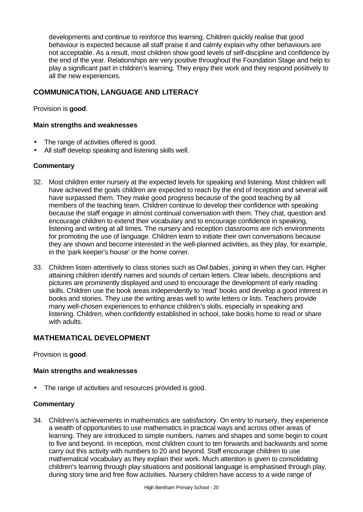developments and continue to reinforce this learning. Children quickly realise that good behaviour is expected because all staff praise it and calmly explain why other behaviours are not acceptable. As a result, most children show good levels of self-discipline and confidence by the end of the year. Relationships are very positive throughout the Foundation Stage and help to play a significant part in children's learning. They enjoy their work and they respond positively to all the new experiences.

# **COMMUNICATION, LANGUAGE AND LITERACY**

Provision is **good**.

#### **Main strengths and weaknesses**

- The range of activities offered is good.
- All staff develop speaking and listening skills well.

#### **Commentary**

- 32. Most children enter nursery at the expected levels for speaking and listening. Most children will have achieved the goals children are expected to reach by the end of reception and several will have surpassed them. They make good progress because of the good teaching by all members of the teaching team. Children continue to develop their confidence with speaking because the staff engage in almost continual conversation with them. They chat, question and encourage children to extend their vocabulary and to encourage confidence in speaking, listening and writing at all times. The nursery and reception classrooms are rich environments for promoting the use of language. Children learn to initiate their own conversations because they are shown and become interested in the well-planned activities, as they play, for example, in the 'park keeper's house' or the home corner.
- 33. Children listen attentively to class stories such as *Owl babies*, joining in when they can. Higher attaining children identify names and sounds of certain letters. Clear labels, descriptions and pictures are prominently displayed and used to encourage the development of early reading skills. Children use the book areas independently to 'read' books and develop a good interest in books and stories. They use the writing areas well to write letters or lists. Teachers provide many well-chosen experiences to enhance children's skills, especially in speaking and listening. Children, when confidently established in school, take books home to read or share with adults.

# **MATHEMATICAL DEVELOPMENT**

Provision is **good**.

#### **Main strengths and weaknesses**

The range of activities and resources provided is good.

#### **Commentary**

34. Children's achievements in mathematics are satisfactory. On entry to nursery, they experience a wealth of opportunities to use mathematics in practical ways and across other areas of learning. They are introduced to simple numbers, names and shapes and some begin to count to five and beyond. In reception, most children count to ten forwards and backwards and some carry out this activity with numbers to 20 and beyond. Staff encourage children to use mathematical vocabulary as they explain their work. Much attention is given to consolidating children's learning through play situations and positional language is emphasised through play, during story time and free flow activities. Nursery children have access to a wide range of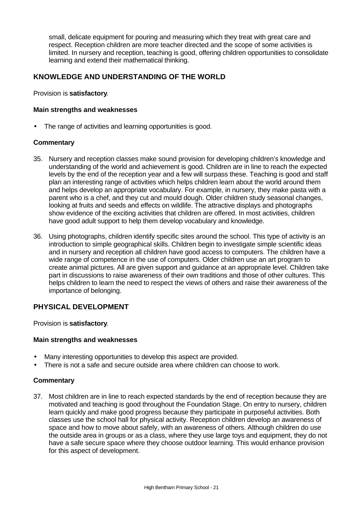small, delicate equipment for pouring and measuring which they treat with great care and respect. Reception children are more teacher directed and the scope of some activities is limited. In nursery and reception, teaching is good, offering children opportunities to consolidate learning and extend their mathematical thinking.

# **KNOWLEDGE AND UNDERSTANDING OF THE WORLD**

Provision is **satisfactory**.

#### **Main strengths and weaknesses**

The range of activities and learning opportunities is good.

#### **Commentary**

- 35. Nursery and reception classes make sound provision for developing children's knowledge and understanding of the world and achievement is good. Children are in line to reach the expected levels by the end of the reception year and a few will surpass these. Teaching is good and staff plan an interesting range of activities which helps children learn about the world around them and helps develop an appropriate vocabulary. For example, in nursery, they make pasta with a parent who is a chef, and they cut and mould dough. Older children study seasonal changes, looking at fruits and seeds and effects on wildlife. The attractive displays and photographs show evidence of the exciting activities that children are offered. In most activities, children have good adult support to help them develop vocabulary and knowledge.
- 36. Using photographs, children identify specific sites around the school. This type of activity is an introduction to simple geographical skills. Children begin to investigate simple scientific ideas and in nursery and reception all children have good access to computers. The children have a wide range of competence in the use of computers. Older children use an art program to create animal pictures. All are given support and guidance at an appropriate level. Children take part in discussions to raise awareness of their own traditions and those of other cultures. This helps children to learn the need to respect the views of others and raise their awareness of the importance of belonging.

# **PHYSICAL DEVELOPMENT**

Provision is **satisfactory**.

#### **Main strengths and weaknesses**

- Many interesting opportunities to develop this aspect are provided.
- There is not a safe and secure outside area where children can choose to work.

#### **Commentary**

37. Most children are in line to reach expected standards by the end of reception because they are motivated and teaching is good throughout the Foundation Stage. On entry to nursery, children learn quickly and make good progress because they participate in purposeful activities. Both classes use the school hall for physical activity. Reception children develop an awareness of space and how to move about safely, with an awareness of others. Although children do use the outside area in groups or as a class, where they use large toys and equipment, they do not have a safe secure space where they choose outdoor learning. This would enhance provision for this aspect of development.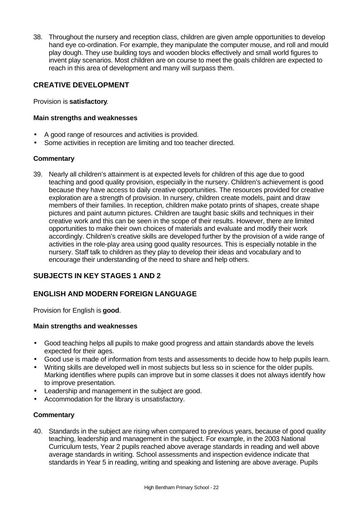38. Throughout the nursery and reception class, children are given ample opportunities to develop hand eye co-ordination. For example, they manipulate the computer mouse, and roll and mould play dough. They use building toys and wooden blocks effectively and small world figures to invent play scenarios. Most children are on course to meet the goals children are expected to reach in this area of development and many will surpass them.

# **CREATIVE DEVELOPMENT**

Provision is **satisfactory**.

#### **Main strengths and weaknesses**

- A good range of resources and activities is provided.
- Some activities in reception are limiting and too teacher directed.

### **Commentary**

39. Nearly all children's attainment is at expected levels for children of this age due to good teaching and good quality provision, especially in the nursery. Children's achievement is good because they have access to daily creative opportunities. The resources provided for creative exploration are a strength of provision. In nursery, children create models, paint and draw members of their families. In reception, children make potato prints of shapes, create shape pictures and paint autumn pictures. Children are taught basic skills and techniques in their creative work and this can be seen in the scope of their results. However, there are limited opportunities to make their own choices of materials and evaluate and modify their work accordingly. Children's creative skills are developed further by the provision of a wide range of activities in the role-play area using good quality resources. This is especially notable in the nursery. Staff talk to children as they play to develop their ideas and vocabulary and to encourage their understanding of the need to share and help others.

# **SUBJECTS IN KEY STAGES 1 AND 2**

# **ENGLISH AND MODERN FOREIGN LANGUAGE**

Provision for English is **good**.

#### **Main strengths and weaknesses**

- Good teaching helps all pupils to make good progress and attain standards above the levels expected for their ages.
- Good use is made of information from tests and assessments to decide how to help pupils learn.
- Writing skills are developed well in most subjects but less so in science for the older pupils. Marking identifies where pupils can improve but in some classes it does not always identify how to improve presentation.
- Leadership and management in the subject are good.
- Accommodation for the library is unsatisfactory.

# **Commentary**

40. Standards in the subject are rising when compared to previous years, because of good quality teaching, leadership and management in the subject. For example, in the 2003 National Curriculum tests, Year 2 pupils reached above average standards in reading and well above average standards in writing. School assessments and inspection evidence indicate that standards in Year 5 in reading, writing and speaking and listening are above average. Pupils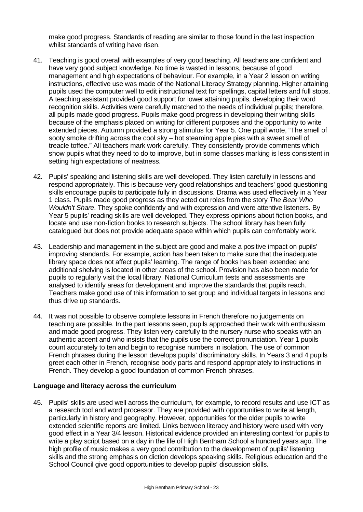make good progress. Standards of reading are similar to those found in the last inspection whilst standards of writing have risen.

- 41. Teaching is good overall with examples of very good teaching. All teachers are confident and have very good subject knowledge. No time is wasted in lessons, because of good management and high expectations of behaviour. For example, in a Year 2 lesson on writing instructions, effective use was made of the National Literacy Strategy planning. Higher attaining pupils used the computer well to edit instructional text for spellings, capital letters and full stops. A teaching assistant provided good support for lower attaining pupils, developing their word recognition skills. Activities were carefully matched to the needs of individual pupils; therefore, all pupils made good progress. Pupils make good progress in developing their writing skills because of the emphasis placed on writing for different purposes and the opportunity to write extended pieces. Autumn provided a strong stimulus for Year 5. One pupil wrote, "The smell of sooty smoke drifting across the cool sky – hot steaming apple pies with a sweet smell of treacle toffee." All teachers mark work carefully. They consistently provide comments which show pupils what they need to do to improve, but in some classes marking is less consistent in setting high expectations of neatness.
- 42. Pupils' speaking and listening skills are well developed. They listen carefully in lessons and respond appropriately. This is because very good relationships and teachers' good questioning skills encourage pupils to participate fully in discussions. Drama was used effectively in a Year 1 class. Pupils made good progress as they acted out roles from the story *The Bear Who Wouldn't Share*. They spoke confidently and with expression and were attentive listeners. By Year 5 pupils' reading skills are well developed. They express opinions about fiction books, and locate and use non-fiction books to research subjects. The school library has been fully catalogued but does not provide adequate space within which pupils can comfortably work.
- 43. Leadership and management in the subject are good and make a positive impact on pupils' improving standards. For example, action has been taken to make sure that the inadequate library space does not affect pupils' learning. The range of books has been extended and additional shelving is located in other areas of the school. Provision has also been made for pupils to regularly visit the local library. National Curriculum tests and assessments are analysed to identify areas for development and improve the standards that pupils reach. Teachers make good use of this information to set group and individual targets in lessons and thus drive up standards.
- 44. It was not possible to observe complete lessons in French therefore no judgements on teaching are possible. In the part lessons seen, pupils approached their work with enthusiasm and made good progress. They listen very carefully to the nursery nurse who speaks with an authentic accent and who insists that the pupils use the correct pronunciation. Year 1 pupils count accurately to ten and begin to recognise numbers in isolation. The use of common French phrases during the lesson develops pupils' discriminatory skills. In Years 3 and 4 pupils greet each other in French, recognise body parts and respond appropriately to instructions in French. They develop a good foundation of common French phrases.

#### **Language and literacy across the curriculum**

45. Pupils' skills are used well across the curriculum, for example, to record results and use ICT as a research tool and word processor. They are provided with opportunities to write at length, particularly in history and geography. However, opportunities for the older pupils to write extended scientific reports are limited. Links between literacy and history were used with very good effect in a Year 3/4 lesson. Historical evidence provided an interesting context for pupils to write a play script based on a day in the life of High Bentham School a hundred years ago. The high profile of music makes a very good contribution to the development of pupils' listening skills and the strong emphasis on diction develops speaking skills. Religious education and the School Council give good opportunities to develop pupils' discussion skills.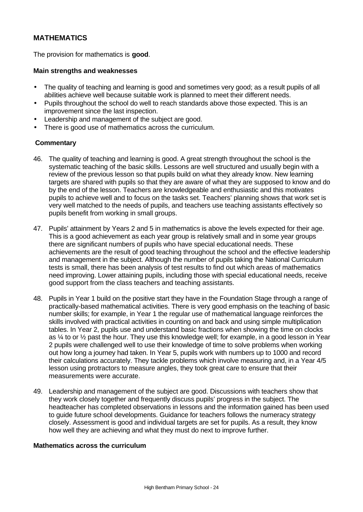# **MATHEMATICS**

The provision for mathematics is **good**.

#### **Main strengths and weaknesses**

- The quality of teaching and learning is good and sometimes very good; as a result pupils of all abilities achieve well because suitable work is planned to meet their different needs.
- Pupils throughout the school do well to reach standards above those expected. This is an improvement since the last inspection.
- Leadership and management of the subject are good.
- There is good use of mathematics across the curriculum.

#### **Commentary**

- 46. The quality of teaching and learning is good. A great strength throughout the school is the systematic teaching of the basic skills. Lessons are well structured and usually begin with a review of the previous lesson so that pupils build on what they already know. New learning targets are shared with pupils so that they are aware of what they are supposed to know and do by the end of the lesson. Teachers are knowledgeable and enthusiastic and this motivates pupils to achieve well and to focus on the tasks set. Teachers' planning shows that work set is very well matched to the needs of pupils, and teachers use teaching assistants effectively so pupils benefit from working in small groups.
- 47. Pupils' attainment by Years 2 and 5 in mathematics is above the levels expected for their age. This is a good achievement as each year group is relatively small and in some year groups there are significant numbers of pupils who have special educational needs. These achievements are the result of good teaching throughout the school and the effective leadership and management in the subject. Although the number of pupils taking the National Curriculum tests is small, there has been analysis of test results to find out which areas of mathematics need improving. Lower attaining pupils, including those with special educational needs, receive good support from the class teachers and teaching assistants.
- 48. Pupils in Year 1 build on the positive start they have in the Foundation Stage through a range of practically-based mathematical activities. There is very good emphasis on the teaching of basic number skills; for example, in Year 1 the regular use of mathematical language reinforces the skills involved with practical activities in counting on and back and using simple multiplication tables. In Year 2, pupils use and understand basic fractions when showing the time on clocks as ¼ to or ½ past the hour. They use this knowledge well; for example, in a good lesson in Year 2 pupils were challenged well to use their knowledge of time to solve problems when working out how long a journey had taken. In Year 5, pupils work with numbers up to 1000 and record their calculations accurately. They tackle problems which involve measuring and, in a Year 4/5 lesson using protractors to measure angles, they took great care to ensure that their measurements were accurate.
- 49. Leadership and management of the subject are good. Discussions with teachers show that they work closely together and frequently discuss pupils' progress in the subject. The headteacher has completed observations in lessons and the information gained has been used to guide future school developments. Guidance for teachers follows the numeracy strategy closely. Assessment is good and individual targets are set for pupils. As a result, they know how well they are achieving and what they must do next to improve further.

#### **Mathematics across the curriculum**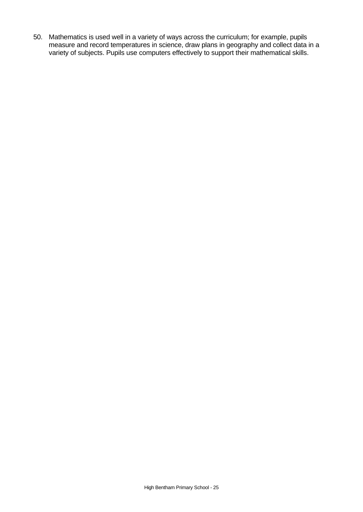50. Mathematics is used well in a variety of ways across the curriculum; for example, pupils measure and record temperatures in science, draw plans in geography and collect data in a variety of subjects. Pupils use computers effectively to support their mathematical skills.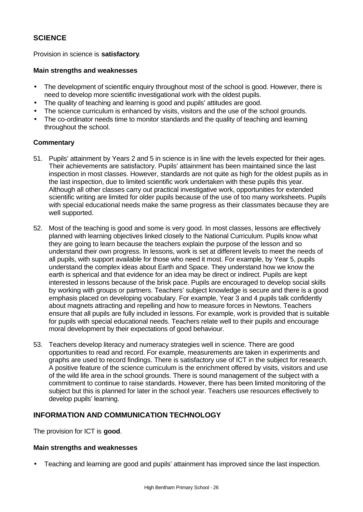# **SCIENCE**

Provision in science is **satisfactory**.

#### **Main strengths and weaknesses**

- The development of scientific enquiry throughout most of the school is good. However, there is need to develop more scientific investigational work with the oldest pupils.
- The quality of teaching and learning is good and pupils' attitudes are good.
- The science curriculum is enhanced by visits, visitors and the use of the school grounds.
- The co-ordinator needs time to monitor standards and the quality of teaching and learning throughout the school.

### **Commentary**

- 51. Pupils' attainment by Years 2 and 5 in science is in line with the levels expected for their ages. Their achievements are satisfactory. Pupils' attainment has been maintained since the last inspection in most classes. However, standards are not quite as high for the oldest pupils as in the last inspection, due to limited scientific work undertaken with these pupils this year. Although all other classes carry out practical investigative work, opportunities for extended scientific writing are limited for older pupils because of the use of too many worksheets. Pupils with special educational needs make the same progress as their classmates because they are well supported.
- 52. Most of the teaching is good and some is very good. In most classes, lessons are effectively planned with learning objectives linked closely to the National Curriculum. Pupils know what they are going to learn because the teachers explain the purpose of the lesson and so understand their own progress. In lessons, work is set at different levels to meet the needs of all pupils, with support available for those who need it most. For example, by Year 5, pupils understand the complex ideas about Earth and Space. They understand how we know the earth is spherical and that evidence for an idea may be direct or indirect. Pupils are kept interested in lessons because of the brisk pace. Pupils are encouraged to develop social skills by working with groups or partners. Teachers' subject knowledge is secure and there is a good emphasis placed on developing vocabulary. For example, Year 3 and 4 pupils talk confidently about magnets attracting and repelling and how to measure forces in Newtons. Teachers ensure that all pupils are fully included in lessons. For example, work is provided that is suitable for pupils with special educational needs. Teachers relate well to their pupils and encourage moral development by their expectations of good behaviour.
- 53. Teachers develop literacy and numeracy strategies well in science. There are good opportunities to read and record. For example, measurements are taken in experiments and graphs are used to record findings. There is satisfactory use of ICT in the subject for research. A positive feature of the science curriculum is the enrichment offered by visits, visitors and use of the wild life area in the school grounds. There is sound management of the subject with a commitment to continue to raise standards. However, there has been limited monitoring of the subject but this is planned for later in the school year. Teachers use resources effectively to develop pupils' learning.

# **INFORMATION AND COMMUNICATION TECHNOLOGY**

The provision for ICT is **good**.

#### **Main strengths and weaknesses**

• Teaching and learning are good and pupils' attainment has improved since the last inspection.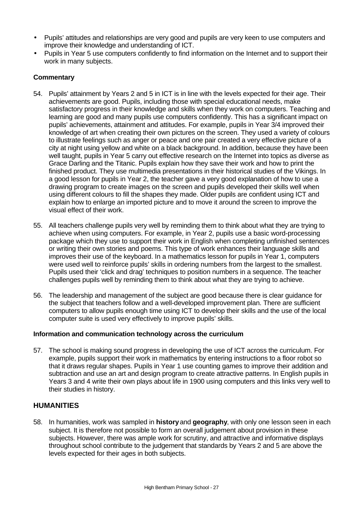- Pupils' attitudes and relationships are very good and pupils are very keen to use computers and improve their knowledge and understanding of ICT.
- Pupils in Year 5 use computers confidently to find information on the Internet and to support their work in many subjects.

# **Commentary**

- 54. Pupils' attainment by Years 2 and 5 in ICT is in line with the levels expected for their age. Their achievements are good. Pupils, including those with special educational needs, make satisfactory progress in their knowledge and skills when they work on computers. Teaching and learning are good and many pupils use computers confidently. This has a significant impact on pupils' achievements, attainment and attitudes. For example, pupils in Year 3/4 improved their knowledge of art when creating their own pictures on the screen. They used a variety of colours to illustrate feelings such as anger or peace and one pair created a very effective picture of a city at night using yellow and white on a black background. In addition, because they have been well taught, pupils in Year 5 carry out effective research on the Internet into topics as diverse as Grace Darling and the Titanic. Pupils explain how they save their work and how to print the finished product. They use multimedia presentations in their historical studies of the Vikings. In a good lesson for pupils in Year 2, the teacher gave a very good explanation of how to use a drawing program to create images on the screen and pupils developed their skills well when using different colours to fill the shapes they made. Older pupils are confident using ICT and explain how to enlarge an imported picture and to move it around the screen to improve the visual effect of their work.
- 55. All teachers challenge pupils very well by reminding them to think about what they are trying to achieve when using computers. For example, in Year 2, pupils use a basic word-processing package which they use to support their work in English when completing unfinished sentences or writing their own stories and poems. This type of work enhances their language skills and improves their use of the keyboard. In a mathematics lesson for pupils in Year 1, computers were used well to reinforce pupils' skills in ordering numbers from the largest to the smallest. Pupils used their 'click and drag' techniques to position numbers in a sequence. The teacher challenges pupils well by reminding them to think about what they are trying to achieve.
- 56. The leadership and management of the subject are good because there is clear guidance for the subject that teachers follow and a well-developed improvement plan. There are sufficient computers to allow pupils enough time using ICT to develop their skills and the use of the local computer suite is used very effectively to improve pupils' skills.

#### **Information and communication technology across the curriculum**

57. The school is making sound progress in developing the use of ICT across the curriculum. For example, pupils support their work in mathematics by entering instructions to a floor robot so that it draws regular shapes. Pupils in Year 1 use counting games to improve their addition and subtraction and use an art and design program to create attractive patterns. In English pupils in Years 3 and 4 write their own plays about life in 1900 using computers and this links very well to their studies in history.

#### **HUMANITIES**

58. In humanities, work was sampled in **history** and **geography**, with only one lesson seen in each subject. It is therefore not possible to form an overall judgement about provision in these subjects. However, there was ample work for scrutiny, and attractive and informative displays throughout school contribute to the judgement that standards by Years 2 and 5 are above the levels expected for their ages in both subjects.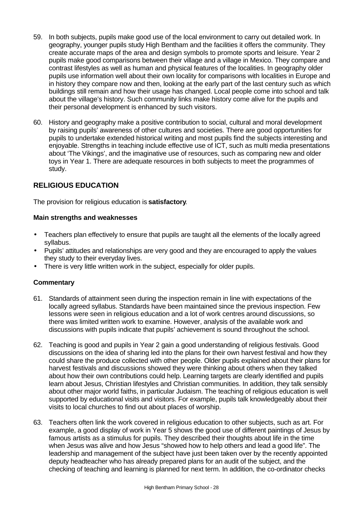- 59. In both subjects, pupils make good use of the local environment to carry out detailed work. In geography, younger pupils study High Bentham and the facilities it offers the community. They create accurate maps of the area and design symbols to promote sports and leisure. Year 2 pupils make good comparisons between their village and a village in Mexico. They compare and contrast lifestyles as well as human and physical features of the localities. In geography older pupils use information well about their own locality for comparisons with localities in Europe and in history they compare now and then, looking at the early part of the last century such as which buildings still remain and how their usage has changed. Local people come into school and talk about the village's history. Such community links make history come alive for the pupils and their personal development is enhanced by such visitors.
- 60. History and geography make a positive contribution to social, cultural and moral development by raising pupils' awareness of other cultures and societies. There are good opportunities for pupils to undertake extended historical writing and most pupils find the subjects interesting and enjoyable. Strengths in teaching include effective use of ICT, such as multi media presentations about 'The Vikings', and the imaginative use of resources, such as comparing new and older toys in Year 1. There are adequate resources in both subjects to meet the programmes of study.

# **RELIGIOUS EDUCATION**

The provision for religious education is **satisfactory**.

#### **Main strengths and weaknesses**

- Teachers plan effectively to ensure that pupils are taught all the elements of the locally agreed syllabus.
- Pupils' attitudes and relationships are very good and they are encouraged to apply the values they study to their everyday lives.
- There is very little written work in the subject, especially for older pupils.

- 61. Standards of attainment seen during the inspection remain in line with expectations of the locally agreed syllabus. Standards have been maintained since the previous inspection. Few lessons were seen in religious education and a lot of work centres around discussions, so there was limited written work to examine. However, analysis of the available work and discussions with pupils indicate that pupils' achievement is sound throughout the school.
- 62. Teaching is good and pupils in Year 2 gain a good understanding of religious festivals. Good discussions on the idea of sharing led into the plans for their own harvest festival and how they could share the produce collected with other people. Older pupils explained about their plans for harvest festivals and discussions showed they were thinking about others when they talked about how their own contributions could help. Learning targets are clearly identified and pupils learn about Jesus, Christian lifestyles and Christian communities. In addition, they talk sensibly about other major world faiths, in particular Judaism. The teaching of religious education is well supported by educational visits and visitors. For example, pupils talk knowledgeably about their visits to local churches to find out about places of worship.
- 63. Teachers often link the work covered in religious education to other subjects, such as art. For example, a good display of work in Year 5 shows the good use of different paintings of Jesus by famous artists as a stimulus for pupils. They described their thoughts about life in the time when Jesus was alive and how Jesus "showed how to help others and lead a good life". The leadership and management of the subject have just been taken over by the recently appointed deputy headteacher who has already prepared plans for an audit of the subject, and the checking of teaching and learning is planned for next term. In addition, the co-ordinator checks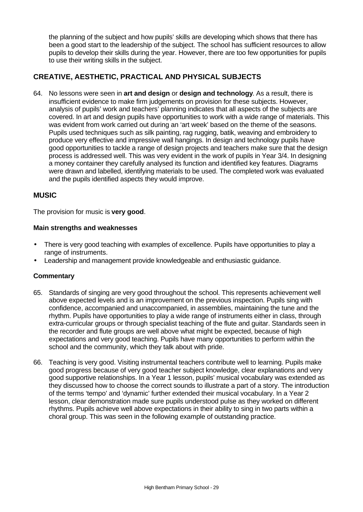the planning of the subject and how pupils' skills are developing which shows that there has been a good start to the leadership of the subject. The school has sufficient resources to allow pupils to develop their skills during the year. However, there are too few opportunities for pupils to use their writing skills in the subject.

# **CREATIVE, AESTHETIC, PRACTICAL AND PHYSICAL SUBJECTS**

64. No lessons were seen in **art and design** or **design and technology**. As a result, there is insufficient evidence to make firm judgements on provision for these subjects. However, analysis of pupils' work and teachers' planning indicates that all aspects of the subjects are covered. In art and design pupils have opportunities to work with a wide range of materials. This was evident from work carried out during an 'art week' based on the theme of the seasons. Pupils used techniques such as silk painting, rag rugging, batik, weaving and embroidery to produce very effective and impressive wall hangings. In design and technology pupils have good opportunities to tackle a range of design projects and teachers make sure that the design process is addressed well. This was very evident in the work of pupils in Year 3/4. In designing a money container they carefully analysed its function and identified key features. Diagrams were drawn and labelled, identifying materials to be used. The completed work was evaluated and the pupils identified aspects they would improve.

# **MUSIC**

The provision for music is **very good**.

### **Main strengths and weaknesses**

- There is very good teaching with examples of excellence. Pupils have opportunities to play a range of instruments.
- Leadership and management provide knowledgeable and enthusiastic guidance.

- 65. Standards of singing are very good throughout the school. This represents achievement well above expected levels and is an improvement on the previous inspection. Pupils sing with confidence, accompanied and unaccompanied, in assemblies, maintaining the tune and the rhythm. Pupils have opportunities to play a wide range of instruments either in class, through extra-curricular groups or through specialist teaching of the flute and guitar. Standards seen in the recorder and flute groups are well above what might be expected, because of high expectations and very good teaching. Pupils have many opportunities to perform within the school and the community, which they talk about with pride.
- 66. Teaching is very good. Visiting instrumental teachers contribute well to learning. Pupils make good progress because of very good teacher subject knowledge, clear explanations and very good supportive relationships. In a Year 1 lesson, pupils' musical vocabulary was extended as they discussed how to choose the correct sounds to illustrate a part of a story. The introduction of the terms 'tempo' and 'dynamic' further extended their musical vocabulary. In a Year 2 lesson, clear demonstration made sure pupils understood pulse as they worked on different rhythms. Pupils achieve well above expectations in their ability to sing in two parts within a choral group. This was seen in the following example of outstanding practice.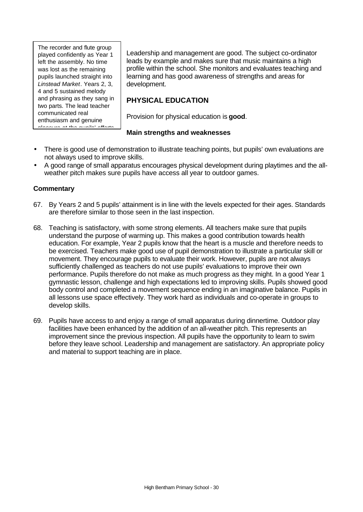The recorder and flute group played confidently as Year 1 left the assembly. No time was lost as the remaining pupils launched straight into *Linstead Market*. Years 2, 3, 4 and 5 sustained melody and phrasing as they sang in two parts. The lead teacher communicated real enthusiasm and genuine pleasure at the pupils' efforts.

Leadership and management are good. The subject co-ordinator leads by example and makes sure that music maintains a high profile within the school. She monitors and evaluates teaching and learning and has good awareness of strengths and areas for development.

# **PHYSICAL EDUCATION**

Provision for physical education is **good**.

### **Main strengths and weaknesses**

- There is good use of demonstration to illustrate teaching points, but pupils' own evaluations are not always used to improve skills.
- A good range of small apparatus encourages physical development during playtimes and the allweather pitch makes sure pupils have access all year to outdoor games.

- 67. By Years 2 and 5 pupils' attainment is in line with the levels expected for their ages. Standards are therefore similar to those seen in the last inspection.
- 68. Teaching is satisfactory, with some strong elements. All teachers make sure that pupils understand the purpose of warming up. This makes a good contribution towards health education. For example, Year 2 pupils know that the heart is a muscle and therefore needs to be exercised. Teachers make good use of pupil demonstration to illustrate a particular skill or movement. They encourage pupils to evaluate their work. However, pupils are not always sufficiently challenged as teachers do not use pupils' evaluations to improve their own performance. Pupils therefore do not make as much progress as they might. In a good Year 1 gymnastic lesson, challenge and high expectations led to improving skills. Pupils showed good body control and completed a movement sequence ending in an imaginative balance. Pupils in all lessons use space effectively. They work hard as individuals and co-operate in groups to develop skills.
- 69. Pupils have access to and enjoy a range of small apparatus during dinnertime. Outdoor play facilities have been enhanced by the addition of an all-weather pitch. This represents an improvement since the previous inspection. All pupils have the opportunity to learn to swim before they leave school. Leadership and management are satisfactory. An appropriate policy and material to support teaching are in place.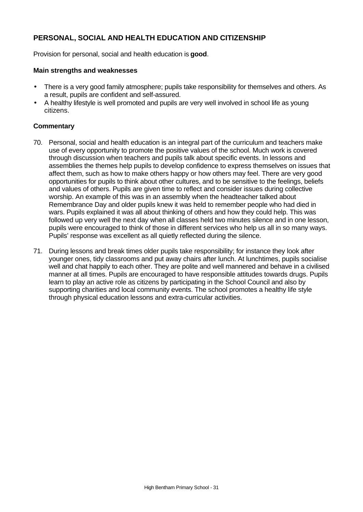# **PERSONAL, SOCIAL AND HEALTH EDUCATION AND CITIZENSHIP**

Provision for personal, social and health education is **good**.

#### **Main strengths and weaknesses**

- There is a very good family atmosphere; pupils take responsibility for themselves and others. As a result, pupils are confident and self-assured.
- A healthy lifestyle is well promoted and pupils are very well involved in school life as young citizens.

- 70. Personal, social and health education is an integral part of the curriculum and teachers make use of every opportunity to promote the positive values of the school. Much work is covered through discussion when teachers and pupils talk about specific events. In lessons and assemblies the themes help pupils to develop confidence to express themselves on issues that affect them, such as how to make others happy or how others may feel. There are very good opportunities for pupils to think about other cultures, and to be sensitive to the feelings, beliefs and values of others. Pupils are given time to reflect and consider issues during collective worship. An example of this was in an assembly when the headteacher talked about Remembrance Day and older pupils knew it was held to remember people who had died in wars. Pupils explained it was all about thinking of others and how they could help. This was followed up very well the next day when all classes held two minutes silence and in one lesson, pupils were encouraged to think of those in different services who help us all in so many ways. Pupils' response was excellent as all quietly reflected during the silence.
- 71. During lessons and break times older pupils take responsibility; for instance they look after younger ones, tidy classrooms and put away chairs after lunch. At lunchtimes, pupils socialise well and chat happily to each other. They are polite and well mannered and behave in a civilised manner at all times. Pupils are encouraged to have responsible attitudes towards drugs. Pupils learn to play an active role as citizens by participating in the School Council and also by supporting charities and local community events. The school promotes a healthy life style through physical education lessons and extra-curricular activities.